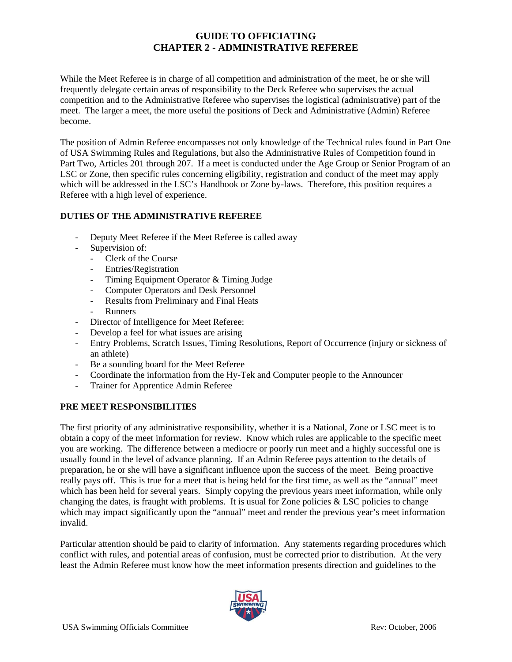While the Meet Referee is in charge of all competition and administration of the meet, he or she will frequently delegate certain areas of responsibility to the Deck Referee who supervises the actual competition and to the Administrative Referee who supervises the logistical (administrative) part of the meet. The larger a meet, the more useful the positions of Deck and Administrative (Admin) Referee become.

The position of Admin Referee encompasses not only knowledge of the Technical rules found in Part One of USA Swimming Rules and Regulations, but also the Administrative Rules of Competition found in Part Two, Articles 201 through 207. If a meet is conducted under the Age Group or Senior Program of an LSC or Zone, then specific rules concerning eligibility, registration and conduct of the meet may apply which will be addressed in the LSC's Handbook or Zone by-laws. Therefore, this position requires a Referee with a high level of experience.

# **DUTIES OF THE ADMINISTRATIVE REFEREE**

- Deputy Meet Referee if the Meet Referee is called away
- Supervision of:
	- Clerk of the Course
	- Entries/Registration
	- Timing Equipment Operator & Timing Judge
	- Computer Operators and Desk Personnel
	- Results from Preliminary and Final Heats
	- **Runners**
- Director of Intelligence for Meet Referee:
- Develop a feel for what issues are arising
- Entry Problems, Scratch Issues, Timing Resolutions, Report of Occurrence (injury or sickness of an athlete)
- Be a sounding board for the Meet Referee
- Coordinate the information from the Hy-Tek and Computer people to the Announcer
- Trainer for Apprentice Admin Referee

## **PRE MEET RESPONSIBILITIES**

The first priority of any administrative responsibility, whether it is a National, Zone or LSC meet is to obtain a copy of the meet information for review. Know which rules are applicable to the specific meet you are working. The difference between a mediocre or poorly run meet and a highly successful one is usually found in the level of advance planning. If an Admin Referee pays attention to the details of preparation, he or she will have a significant influence upon the success of the meet. Being proactive really pays off. This is true for a meet that is being held for the first time, as well as the "annual" meet which has been held for several years. Simply copying the previous years meet information, while only changing the dates, is fraught with problems. It is usual for Zone policies  $&$  LSC policies to change which may impact significantly upon the "annual" meet and render the previous year's meet information invalid.

Particular attention should be paid to clarity of information. Any statements regarding procedures which conflict with rules, and potential areas of confusion, must be corrected prior to distribution. At the very least the Admin Referee must know how the meet information presents direction and guidelines to the

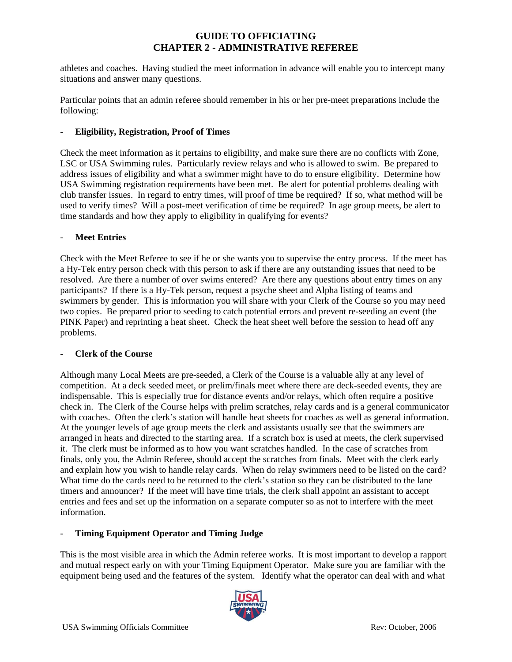athletes and coaches. Having studied the meet information in advance will enable you to intercept many situations and answer many questions.

Particular points that an admin referee should remember in his or her pre-meet preparations include the following:

### - **Eligibility, Registration, Proof of Times**

Check the meet information as it pertains to eligibility, and make sure there are no conflicts with Zone, LSC or USA Swimming rules. Particularly review relays and who is allowed to swim. Be prepared to address issues of eligibility and what a swimmer might have to do to ensure eligibility. Determine how USA Swimming registration requirements have been met. Be alert for potential problems dealing with club transfer issues. In regard to entry times, will proof of time be required? If so, what method will be used to verify times? Will a post-meet verification of time be required? In age group meets, be alert to time standards and how they apply to eligibility in qualifying for events?

### **Meet Entries**

Check with the Meet Referee to see if he or she wants you to supervise the entry process. If the meet has a Hy-Tek entry person check with this person to ask if there are any outstanding issues that need to be resolved. Are there a number of over swims entered? Are there any questions about entry times on any participants? If there is a Hy-Tek person, request a psyche sheet and Alpha listing of teams and swimmers by gender. This is information you will share with your Clerk of the Course so you may need two copies. Be prepared prior to seeding to catch potential errors and prevent re-seeding an event (the PINK Paper) and reprinting a heat sheet. Check the heat sheet well before the session to head off any problems.

### - **Clerk of the Course**

Although many Local Meets are pre-seeded, a Clerk of the Course is a valuable ally at any level of competition. At a deck seeded meet, or prelim/finals meet where there are deck-seeded events, they are indispensable. This is especially true for distance events and/or relays, which often require a positive check in. The Clerk of the Course helps with prelim scratches, relay cards and is a general communicator with coaches. Often the clerk's station will handle heat sheets for coaches as well as general information. At the younger levels of age group meets the clerk and assistants usually see that the swimmers are arranged in heats and directed to the starting area. If a scratch box is used at meets, the clerk supervised it. The clerk must be informed as to how you want scratches handled. In the case of scratches from finals, only you, the Admin Referee, should accept the scratches from finals. Meet with the clerk early and explain how you wish to handle relay cards. When do relay swimmers need to be listed on the card? What time do the cards need to be returned to the clerk's station so they can be distributed to the lane timers and announcer? If the meet will have time trials, the clerk shall appoint an assistant to accept entries and fees and set up the information on a separate computer so as not to interfere with the meet information.

### - **Timing Equipment Operator and Timing Judge**

This is the most visible area in which the Admin referee works. It is most important to develop a rapport and mutual respect early on with your Timing Equipment Operator. Make sure you are familiar with the equipment being used and the features of the system. Identify what the operator can deal with and what

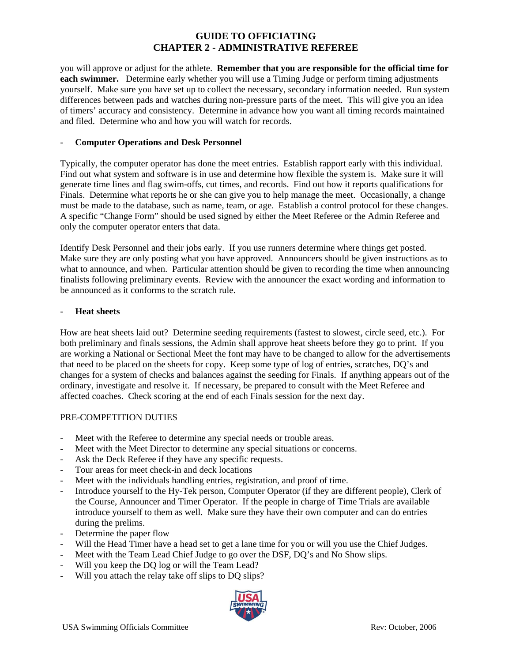you will approve or adjust for the athlete. **Remember that you are responsible for the official time for each swimmer.** Determine early whether you will use a Timing Judge or perform timing adjustments yourself. Make sure you have set up to collect the necessary, secondary information needed. Run system differences between pads and watches during non-pressure parts of the meet. This will give you an idea of timers' accuracy and consistency. Determine in advance how you want all timing records maintained and filed. Determine who and how you will watch for records.

### - **Computer Operations and Desk Personnel**

Typically, the computer operator has done the meet entries. Establish rapport early with this individual. Find out what system and software is in use and determine how flexible the system is. Make sure it will generate time lines and flag swim-offs, cut times, and records. Find out how it reports qualifications for Finals. Determine what reports he or she can give you to help manage the meet. Occasionally, a change must be made to the database, such as name, team, or age. Establish a control protocol for these changes. A specific "Change Form" should be used signed by either the Meet Referee or the Admin Referee and only the computer operator enters that data.

Identify Desk Personnel and their jobs early. If you use runners determine where things get posted. Make sure they are only posting what you have approved. Announcers should be given instructions as to what to announce, and when. Particular attention should be given to recording the time when announcing finalists following preliminary events. Review with the announcer the exact wording and information to be announced as it conforms to the scratch rule.

#### - **Heat sheets**

How are heat sheets laid out? Determine seeding requirements (fastest to slowest, circle seed, etc.). For both preliminary and finals sessions, the Admin shall approve heat sheets before they go to print. If you are working a National or Sectional Meet the font may have to be changed to allow for the advertisements that need to be placed on the sheets for copy. Keep some type of log of entries, scratches, DQ's and changes for a system of checks and balances against the seeding for Finals. If anything appears out of the ordinary, investigate and resolve it. If necessary, be prepared to consult with the Meet Referee and affected coaches. Check scoring at the end of each Finals session for the next day.

## PRE-COMPETITION DUTIES

- Meet with the Referee to determine any special needs or trouble areas.
- Meet with the Meet Director to determine any special situations or concerns.
- Ask the Deck Referee if they have any specific requests.
- Tour areas for meet check-in and deck locations
- Meet with the individuals handling entries, registration, and proof of time.
- Introduce yourself to the Hy-Tek person, Computer Operator (if they are different people), Clerk of the Course, Announcer and Timer Operator. If the people in charge of Time Trials are available introduce yourself to them as well. Make sure they have their own computer and can do entries during the prelims.
- Determine the paper flow
- Will the Head Timer have a head set to get a lane time for you or will you use the Chief Judges.
- Meet with the Team Lead Chief Judge to go over the DSF, DO's and No Show slips.
- Will you keep the DO log or will the Team Lead?
- Will you attach the relay take off slips to DQ slips?